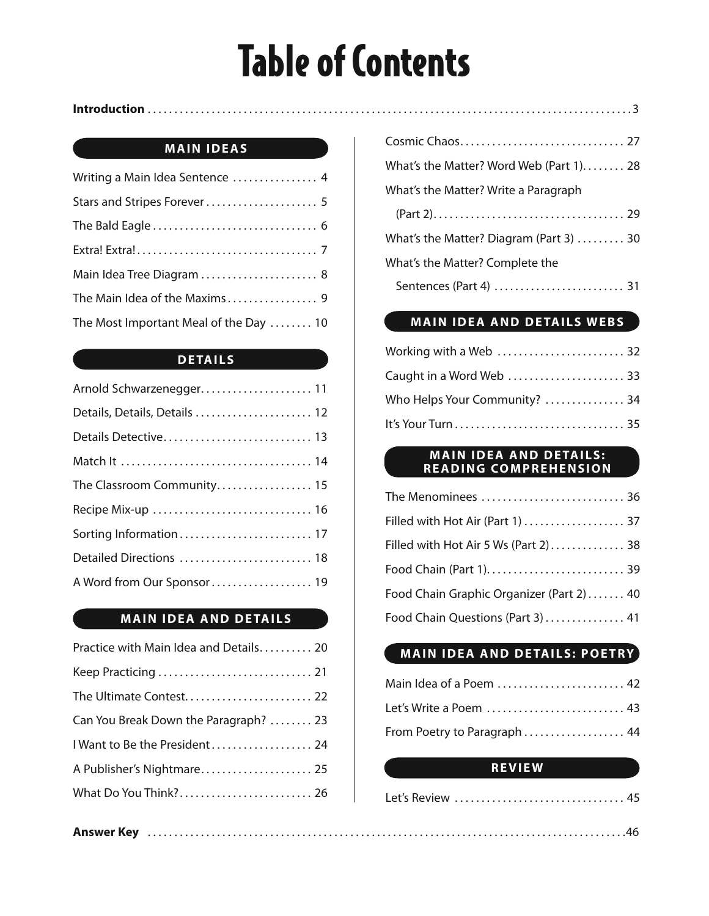# Table of Contents

#### **Introduction** . . . . . . . . . . . . . . . . . . . . . . . . . . . . . . . . . . . . . . . . . . . . . . . . . . . . . . . . . . . . . . . . . . . . . . . . . . . . . . . . . . . . . . . . . . . 3

#### **MAIN IDEAS**

| Writing a Main Idea Sentence  4        |
|----------------------------------------|
|                                        |
|                                        |
|                                        |
| Main Idea Tree Diagram  8              |
|                                        |
| The Most Important Meal of the Day  10 |

#### **DETAILS**

| Details, Details, Details  12 |
|-------------------------------|
|                               |
|                               |
| The Classroom Community 15    |
|                               |
|                               |
| Detailed Directions  18       |
| A Word from Our Sponsor 19    |

#### **MAIN IDEA AND DETAILS**

| Practice with Main Idea and Details 20 |  |
|----------------------------------------|--|
|                                        |  |
|                                        |  |
| Can You Break Down the Paragraph?  23  |  |
| I Want to Be the President 24          |  |
| A Publisher's Nightmare 25             |  |
| What Do You Think? 26                  |  |
|                                        |  |

| Cosmic Chaos 27                                      |
|------------------------------------------------------|
| What's the Matter? Word Web (Part $1$ ) 28           |
| What's the Matter? Write a Paragraph                 |
|                                                      |
| What's the Matter? Diagram (Part 3) $\dots \dots 30$ |
| What's the Matter? Complete the                      |
|                                                      |

#### **MAIN IDEA AND DETAILS WEBS**

| Who Helps Your Community?  34 |  |
|-------------------------------|--|
|                               |  |

#### **MAIN IDEA AND DETAILS: READING COMPREHENSION**

| The Menominees  36                       |  |
|------------------------------------------|--|
| Filled with Hot Air (Part 1)  37         |  |
| Filled with Hot Air 5 Ws (Part 2) 38     |  |
|                                          |  |
| Food Chain Graphic Organizer (Part 2) 40 |  |
| Food Chain Questions (Part 3)  41        |  |

#### **MAIN IDEA AND DETAILS: POETRY**

| Main Idea of a Poem  42      |  |
|------------------------------|--|
| Let's Write a Poem  43       |  |
| From Poetry to Paragraph  44 |  |

#### **REVIEW**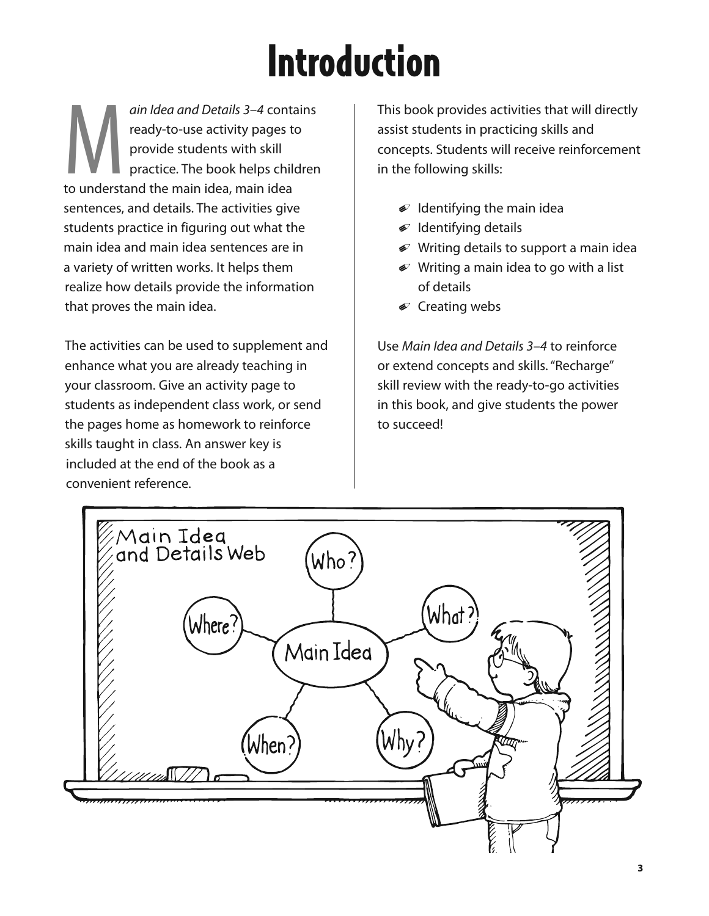# Introduction

ain Idea and Details 3–4 contains<br>
ready-to-use activity pages to<br>
provide students with skill<br>
practice. The book helps children<br>
to understand the main idea, main idea ready-to-use activity pages to provide students with skill practice. The book helps children sentences, and details. The activities give students practice in figuring out what the main idea and main idea sentences are in a variety of written works. It helps them realize how details provide the information that proves the main idea.

The activities can be used to supplement and enhance what you are already teaching in your classroom. Give an activity page to students as independent class work, or send the pages home as homework to reinforce skills taught in class. An answer key is included at the end of the book as a convenient reference.

This book provides activities that will directly assist students in practicing skills and concepts. Students will receive reinforcement in the following skills:

- $\mathcal Q$  Identifying the main idea
- $\mathcal I$  Identifying details
- $\mathcal P$  Writing details to support a main idea
- $\mathcal D$  Writing a main idea to go with a list of details
- $\mathcal D$  Creating webs

Use Main Idea and Details 3–4 to reinforce or extend concepts and skills. "Recharge" skill review with the ready-to-go activities in this book, and give students the power to succeed!

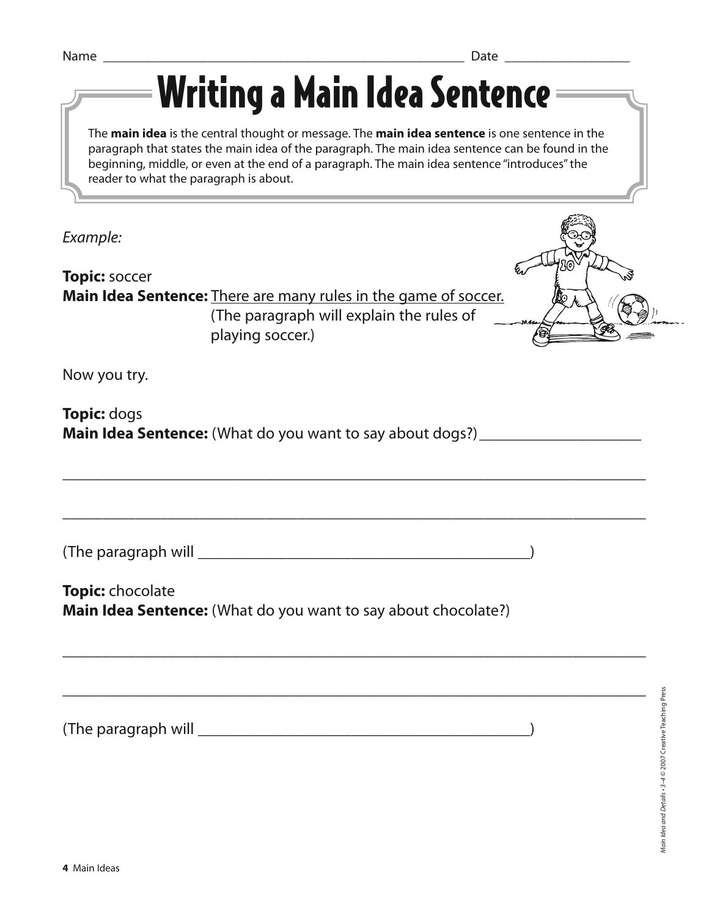| n 1<br>N<br>. <u>.</u><br>___ |  |
|-------------------------------|--|
|-------------------------------|--|

Writing a Main Idea Sentence

The **main idea** is the central thought or message. The **main idea sentence** is one sentence in the paragraph that states the main idea of the paragraph. The main idea sentence can be found in the beginning, middle, or even at the end of a paragraph. The main idea sentence "introduces" the reader to what the paragraph is about.

\_\_\_\_\_\_\_\_\_\_\_\_\_\_\_\_\_\_\_\_\_\_\_\_\_\_\_\_\_\_\_\_\_\_\_\_\_\_\_\_\_\_\_\_\_\_\_\_\_\_\_\_\_\_\_\_\_\_\_\_\_\_\_\_\_\_\_\_\_\_\_\_

\_\_\_\_\_\_\_\_\_\_\_\_\_\_\_\_\_\_\_\_\_\_\_\_\_\_\_\_\_\_\_\_\_\_\_\_\_\_\_\_\_\_\_\_\_\_\_\_\_\_\_\_\_\_\_\_\_\_\_\_\_\_\_\_\_\_\_\_\_\_\_\_

\_\_\_\_\_\_\_\_\_\_\_\_\_\_\_\_\_\_\_\_\_\_\_\_\_\_\_\_\_\_\_\_\_\_\_\_\_\_\_\_\_\_\_\_\_\_\_\_\_\_\_\_\_\_\_\_\_\_\_\_\_\_\_\_\_\_\_\_\_\_\_\_

\_\_\_\_\_\_\_\_\_\_\_\_\_\_\_\_\_\_\_\_\_\_\_\_\_\_\_\_\_\_\_\_\_\_\_\_\_\_\_\_\_\_\_\_\_\_\_\_\_\_\_\_\_\_\_\_\_\_\_\_\_\_\_\_\_\_\_\_\_\_\_\_

Example:

**Topic:** soccer **Main Idea Sentence:** There are many rules in the game of soccer. (The paragraph will explain the rules of playing soccer.)

Now you try.

**Topic:** dogs **Main Idea Sentence:** (What do you want to say about dogs?) \_\_\_\_\_\_\_\_\_\_\_\_\_\_\_\_\_\_\_\_\_

(The paragraph will \_\_\_\_\_\_\_\_\_\_\_\_\_\_\_\_\_\_\_\_\_\_\_\_\_\_\_\_\_\_\_\_\_\_\_\_\_\_\_\_\_)

**Topic:** chocolate **Main Idea Sentence:** (What do you want to say about chocolate?)

(The paragraph will \_\_\_\_\_\_\_\_\_\_\_\_\_\_\_\_\_\_\_\_\_\_\_\_\_\_\_\_\_\_\_\_\_\_\_\_\_\_\_\_\_)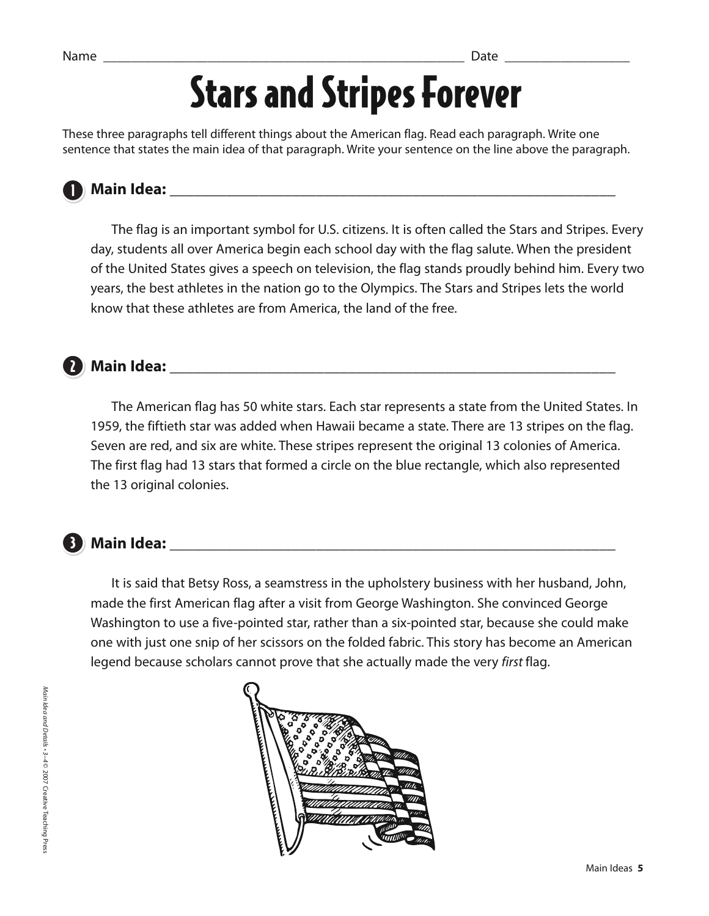### Stars and Stripes Forever

These three paragraphs tell different things about the American flag. Read each paragraph. Write one sentence that states the main idea of that paragraph. Write your sentence on the line above the paragraph.



### **Main Idea:** \_\_\_\_\_\_\_\_\_\_\_\_\_\_\_\_\_\_\_\_\_\_\_\_\_\_\_\_\_\_\_\_\_\_\_\_\_\_\_\_\_\_\_\_\_\_\_\_\_\_\_\_\_\_\_ 1

 The flag is an important symbol for U.S. citizens. It is often called the Stars and Stripes. Every day, students all over America begin each school day with the flag salute. When the president of the United States gives a speech on television, the flag stands proudly behind him. Every two years, the best athletes in the nation go to the Olympics. The Stars and Stripes lets the world know that these athletes are from America, the land of the free.



#### **Main Idea:** \_\_\_\_\_\_\_\_\_\_\_\_\_\_\_\_\_\_\_\_\_\_\_\_\_\_\_\_\_\_\_\_\_\_\_\_\_\_\_\_\_\_\_\_\_\_\_\_\_\_\_\_\_\_\_ 2

 The American flag has 50 white stars. Each star represents a state from the United States. In 1959, the fiftieth star was added when Hawaii became a state. There are 13 stripes on the flag. Seven are red, and six are white. These stripes represent the original 13 colonies of America. The first flag had 13 stars that formed a circle on the blue rectangle, which also represented the 13 original colonies.

#### **Main Idea:** \_\_\_\_\_\_\_\_\_\_\_\_\_\_\_\_\_\_\_\_\_\_\_\_\_\_\_\_\_\_\_\_\_\_\_\_\_\_\_\_\_\_\_\_\_\_\_\_\_\_\_\_\_\_\_ 3

 It is said that Betsy Ross, a seamstress in the upholstery business with her husband, John, made the first American flag after a visit from George Washington. She convinced George Washington to use a five-pointed star, rather than a six-pointed star, because she could make one with just one snip of her scissors on the folded fabric. This story has become an American legend because scholars cannot prove that she actually made the very first flag.

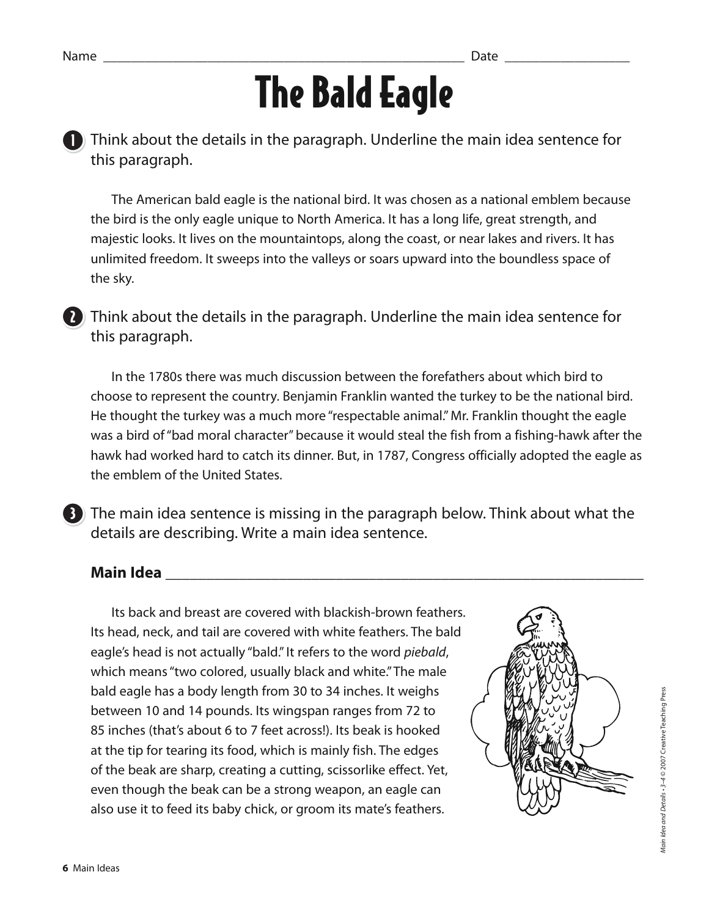# The Bald Eagle

**D**) Think about the details in the paragraph. Underline the main idea sentence for this paragraph.

 The American bald eagle is the national bird. It was chosen as a national emblem because the bird is the only eagle unique to North America. It has a long life, great strength, and majestic looks. It lives on the mountaintops, along the coast, or near lakes and rivers. It has unlimited freedom. It sweeps into the valleys or soars upward into the boundless space of the sky.

**7** Think about the details in the paragraph. Underline the main idea sentence for this paragraph.

 In the 1780s there was much discussion between the forefathers about which bird to choose to represent the country. Benjamin Franklin wanted the turkey to be the national bird. He thought the turkey was a much more "respectable animal." Mr. Franklin thought the eagle was a bird of "bad moral character" because it would steal the fish from a fishing-hawk after the hawk had worked hard to catch its dinner. But, in 1787, Congress officially adopted the eagle as the emblem of the United States.

**3** The main idea sentence is missing in the paragraph below. Think about what the details are describing. Write a main idea sentence.

#### **Main Idea** \_\_\_\_\_\_\_\_\_\_\_\_\_\_\_\_\_\_\_\_\_\_\_\_\_\_\_\_\_\_\_\_\_\_\_\_\_\_\_\_\_\_\_\_\_\_\_\_\_\_\_\_\_\_\_\_\_\_\_

 Its back and breast are covered with blackish-brown feathers. Its head, neck, and tail are covered with white feathers. The bald eagle's head is not actually "bald." It refers to the word piebald, which means "two colored, usually black and white." The male bald eagle has a body length from 30 to 34 inches. It weighs between 10 and 14 pounds. Its wingspan ranges from 72 to 85 inches (that's about 6 to 7 feet across!). Its beak is hooked at the tip for tearing its food, which is mainly fish. The edges of the beak are sharp, creating a cutting, scissorlike effect. Yet, even though the beak can be a strong weapon, an eagle can also use it to feed its baby chick, or groom its mate's feathers.

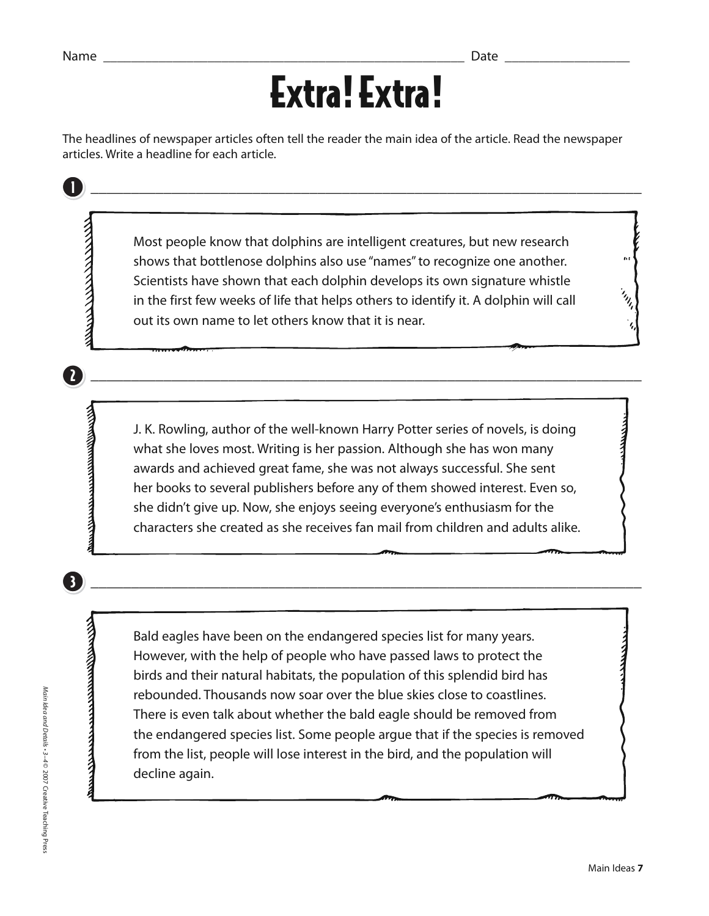1

2

3)

### Extra! Extra!

\_\_\_\_\_\_\_\_\_\_\_\_\_\_\_\_\_\_\_\_\_\_\_\_\_\_\_\_\_\_\_\_\_\_\_\_\_\_\_\_\_\_\_\_\_\_\_\_\_\_\_\_\_\_\_\_\_\_\_\_\_\_\_\_\_\_\_\_

The headlines of newspaper articles often tell the reader the main idea of the article. Read the newspaper articles. Write a headline for each article.

Most people know that dolphins are intelligent creatures, but new research<br>shows that bottlenose dolphins also use "names" to recognize one another.<br>Scientists have shown that each dolphin develops its own signature whistl shows that bottlenose dolphins also use "names" to recognize one another. Scientists have shown that each dolphin develops its own signature whistle in the first few weeks of life that helps others to identify it. A dolphin will call out its own name to let others know that it is near.

J. K. Rowling, author of the well-known Harry Potter series of novels, is doing<br>what she loves most. Writing is her passion. Although she has won many<br>awards and achieved great fame, she was not always successful. She sent what she loves most. Writing is her passion. Although she has won many awards and achieved great fame, she was not always successful. She sent her books to several publishers before any of them showed interest. Even so, she didn't give up. Now, she enjoys seeing everyone's enthusiasm for the characters she created as she receives fan mail from children and adults alike.

\_\_\_\_\_\_\_\_\_\_\_\_\_\_\_\_\_\_\_\_\_\_\_\_\_\_\_\_\_\_\_\_\_\_\_\_\_\_\_\_\_\_\_\_\_\_\_\_\_\_\_\_\_\_\_\_\_\_\_\_\_\_\_\_\_\_\_\_

\_\_\_\_\_\_\_\_\_\_\_\_\_\_\_\_\_\_\_\_\_\_\_\_\_\_\_\_\_\_\_\_\_\_\_\_\_\_\_\_\_\_\_\_\_\_\_\_\_\_\_\_\_\_\_\_\_\_\_\_\_\_\_\_\_\_\_\_

Bald eagles have been on the endangered species list for many years.<br>
However, with the help of people who have passed laws to protect the<br>
birds and their natural habitats, the population of this splendid bird ha<br>
rebound However, with the help of people who have passed laws to protect the birds and their natural habitats, the population of this splendid bird has rebounded. Thousands now soar over the blue skies close to coastlines. There is even talk about whether the bald eagle should be removed from the endangered species list. Some people argue that if the species is removed from the list, people will lose interest in the bird, and the population will decline again.

 $\overline{a}$ 

 $\left. \begin{array}{c} \mathbf{1}_{I_{I_{i}}}\end{array} \right|$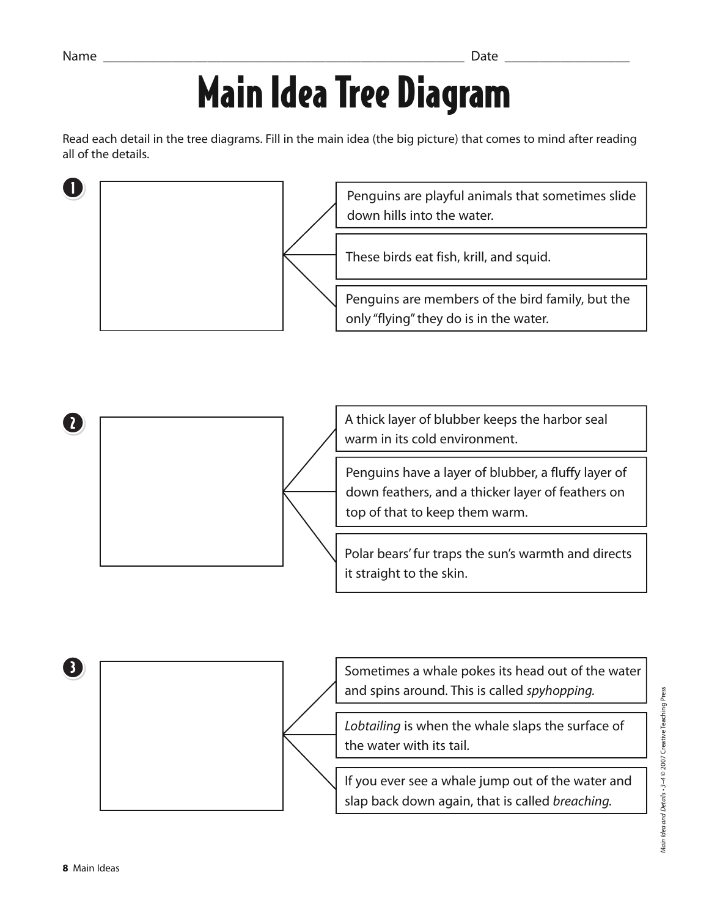### Main Idea Tree Diagram

Read each detail in the tree diagrams. Fill in the main idea (the big picture) that comes to mind after reading all of the details.

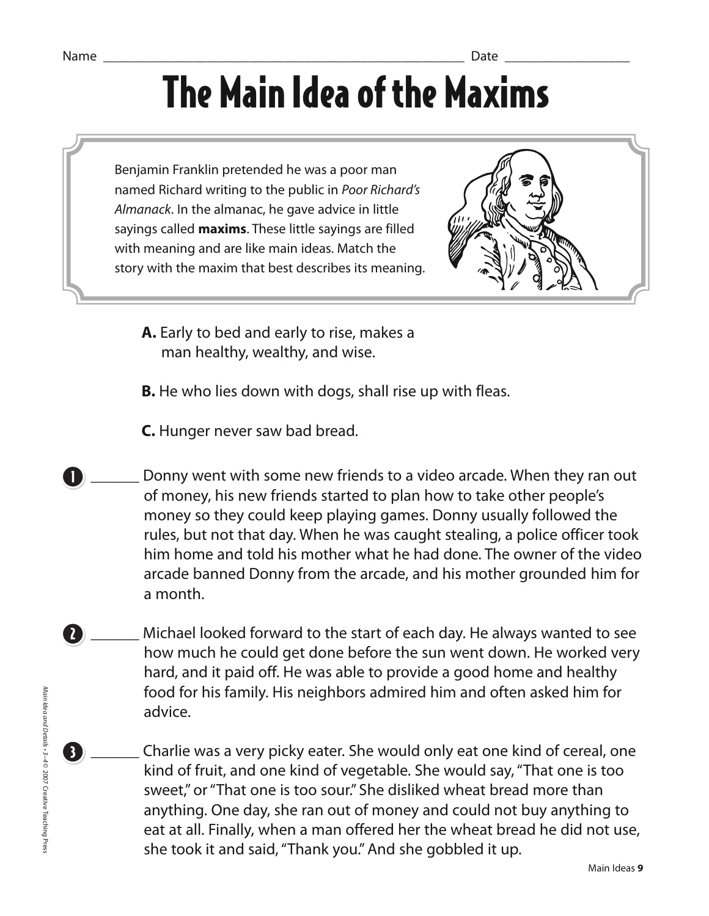### Name \_\_\_\_\_\_\_\_\_\_\_\_\_\_\_\_\_\_\_\_\_\_\_\_\_\_\_\_\_\_\_\_\_\_\_\_\_\_\_\_\_\_\_\_\_\_\_\_\_\_\_\_ Date \_\_\_\_\_\_\_\_\_\_\_\_\_\_\_\_\_\_ The Main Idea of the Maxims

Benjamin Franklin pretended he was a poor man named Richard writing to the public in Poor Richard's Almanack. In the almanac, he gave advice in little sayings called **maxims**. These little sayings are filled with meaning and are like main ideas. Match the story with the maxim that best describes its meaning.



- **A.** Early to bed and early to rise, makes a man healthy, wealthy, and wise.
- **B.** He who lies down with dogs, shall rise up with fleas.
- **C.** Hunger never saw bad bread.
- Donny went with some new friends to a video arcade. When they ran out of money, his new friends started to plan how to take other people's money so they could keep playing games. Donny usually followed the rules, but not that day. When he was caught stealing, a police officer took him home and told his mother what he had done. The owner of the video arcade banned Donny from the arcade, and his mother grounded him for a month.
- Michael looked forward to the start of each day. He always wanted to see how much he could get done before the sun went down. He worked very hard, and it paid off. He was able to provide a good home and healthy food for his family. His neighbors admired him and often asked him for advice. 2
	- \_\_\_\_\_\_ Charlie was a very picky eater. She would only eat one kind of cereal, one kind of fruit, and one kind of vegetable. She would say, "That one is too sweet," or "That one is too sour." She disliked wheat bread more than anything. One day, she ran out of money and could not buy anything to eat at all. Finally, when a man offered her the wheat bread he did not use, she took it and said, "Thank you." And she gobbled it up.

3

1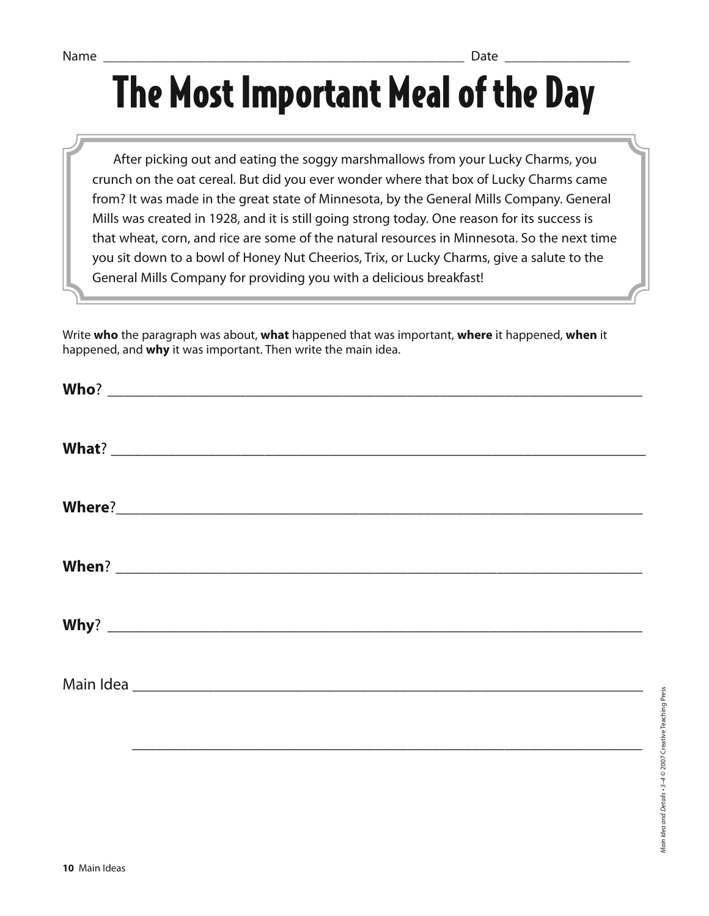# The Most Important Meal of the Day

 After picking out and eating the soggy marshmallows from your Lucky Charms, you crunch on the oat cereal. But did you ever wonder where that box of Lucky Charms came from? It was made in the great state of Minnesota, by the General Mills Company. General Mills was created in 1928, and it is still going strong today. One reason for its success is that wheat, corn, and rice are some of the natural resources in Minnesota. So the next time you sit down to a bowl of Honey Nut Cheerios, Trix, or Lucky Charms, give a salute to the General Mills Company for providing you with a delicious breakfast!

Write **who** the paragraph was about, **what** happened that was important, **where** it happened, **when** it happened, and **why** it was important. Then write the main idea.

| Why? $\overline{\phantom{a}}$ |  |  |
|-------------------------------|--|--|
|                               |  |  |
|                               |  |  |